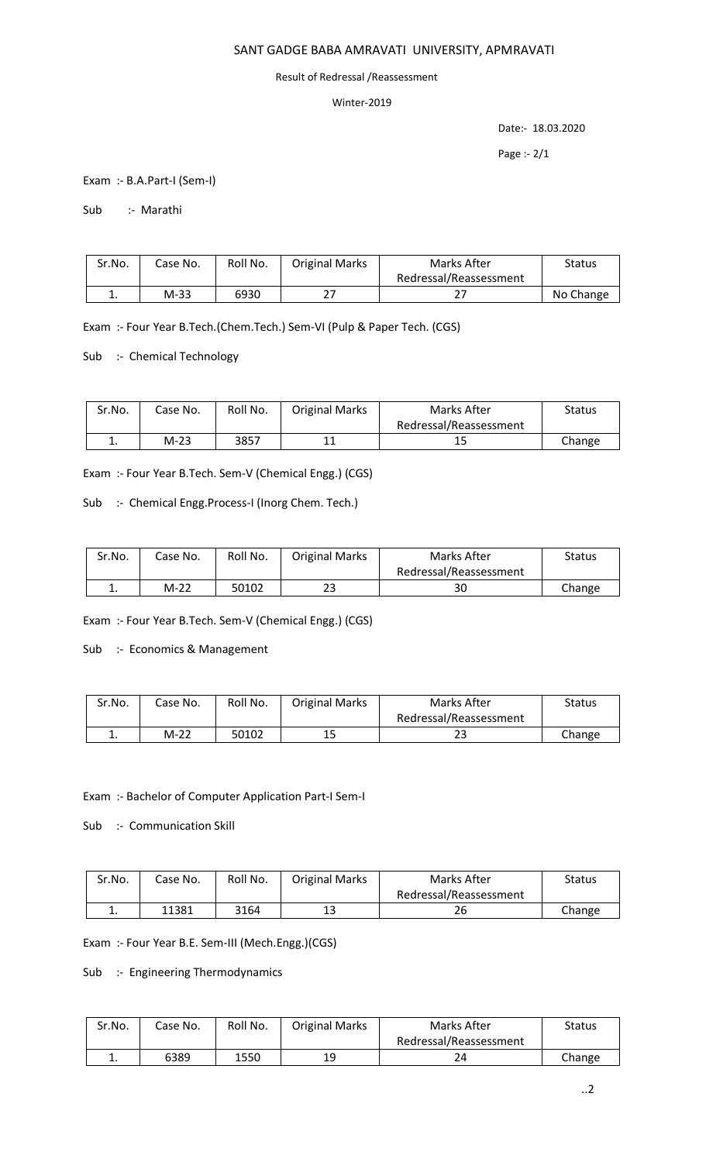## SANT GADGE BABA AMRAVATI UNIVERSITY, APMRAVATI

#### Result of Redressal /Reassessment

### Winter-2019

Date:- 18.03.2020

Page :- 2/1

Exam :- B.A.Part-I (Sem-I)

Sub :- Marathi

| Sr.No. | Case No. | Roll No. | <b>Original Marks</b> | Marks After            | Status    |
|--------|----------|----------|-----------------------|------------------------|-----------|
|        |          |          |                       | Redressal/Reassessment |           |
| ٠.     | M-33     | 6930     |                       |                        | No Change |

Exam :- Four Year B.Tech.(Chem.Tech.) Sem-VI (Pulp & Paper Tech. (CGS)

Sub :- Chemical Technology

| Sr.No. | Case No. | Roll No. | <b>Original Marks</b> | Marks After            | Status |
|--------|----------|----------|-----------------------|------------------------|--------|
|        |          |          |                       | Redressal/Reassessment |        |
| . .    | M-23     | 3857     |                       | 15                     | Change |

Exam :- Four Year B.Tech. Sem-V (Chemical Engg.) (CGS)

Sub :- Chemical Engg.Process-I (Inorg Chem. Tech.)

| Sr.No.   | Case No. | Roll No. | <b>Original Marks</b> | Marks After            | <b>Status</b> |
|----------|----------|----------|-----------------------|------------------------|---------------|
|          |          |          |                       | Redressal/Reassessment |               |
| <b>.</b> | $M-22$   | 50102    | 23                    | 30                     | Change        |

Exam :- Four Year B.Tech. Sem-V (Chemical Engg.) (CGS)

Sub :- Economics & Management

| Sr.No. | Case No. | Roll No. | <b>Original Marks</b> | Marks After            | Status |
|--------|----------|----------|-----------------------|------------------------|--------|
|        |          |          |                       | Redressal/Reassessment |        |
| ∸.     | M-22     | 50102    | 15                    | دے                     | Change |

Exam :- Bachelor of Computer Application Part-I Sem-I

Sub :- Communication Skill

| Sr.No. | Case No. | Roll No. | <b>Original Marks</b> | Marks After            | Status |
|--------|----------|----------|-----------------------|------------------------|--------|
|        |          |          |                       | Redressal/Reassessment |        |
| . .    | 11381    | 3164     | 13                    | 26                     | Change |

Exam :- Four Year B.E. Sem-III (Mech.Engg.)(CGS)

Sub :- Engineering Thermodynamics

| Sr.No. | Case No. | Roll No. | <b>Original Marks</b> | Marks After            | <b>Status</b> |
|--------|----------|----------|-----------------------|------------------------|---------------|
|        |          |          |                       | Redressal/Reassessment |               |
| . .    | 6389     | 1550     | 19                    |                        | Change        |